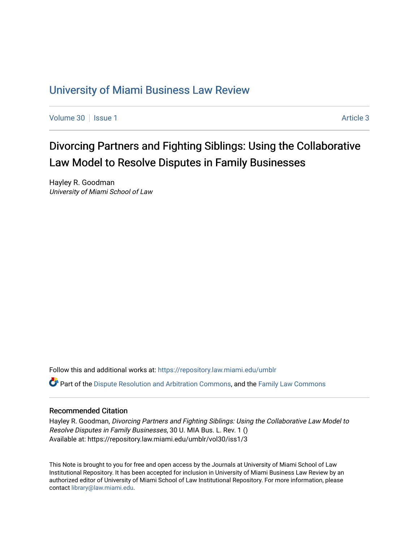## [University of Miami Business Law Review](https://repository.law.miami.edu/umblr)

[Volume 30](https://repository.law.miami.edu/umblr/vol30) | [Issue 1](https://repository.law.miami.edu/umblr/vol30/iss1) Article 3

# Divorcing Partners and Fighting Siblings: Using the Collaborative Law Model to Resolve Disputes in Family Businesses

Hayley R. Goodman University of Miami School of Law

Follow this and additional works at: [https://repository.law.miami.edu/umblr](https://repository.law.miami.edu/umblr?utm_source=repository.law.miami.edu%2Fumblr%2Fvol30%2Fiss1%2F3&utm_medium=PDF&utm_campaign=PDFCoverPages) 

Part of the [Dispute Resolution and Arbitration Commons,](http://network.bepress.com/hgg/discipline/890?utm_source=repository.law.miami.edu%2Fumblr%2Fvol30%2Fiss1%2F3&utm_medium=PDF&utm_campaign=PDFCoverPages) and the [Family Law Commons](http://network.bepress.com/hgg/discipline/602?utm_source=repository.law.miami.edu%2Fumblr%2Fvol30%2Fiss1%2F3&utm_medium=PDF&utm_campaign=PDFCoverPages)

## Recommended Citation

Hayley R. Goodman, Divorcing Partners and Fighting Siblings: Using the Collaborative Law Model to Resolve Disputes in Family Businesses, 30 U. MIA Bus. L. Rev. 1 () Available at: https://repository.law.miami.edu/umblr/vol30/iss1/3

This Note is brought to you for free and open access by the Journals at University of Miami School of Law Institutional Repository. It has been accepted for inclusion in University of Miami Business Law Review by an authorized editor of University of Miami School of Law Institutional Repository. For more information, please contact [library@law.miami.edu](mailto:library@law.miami.edu).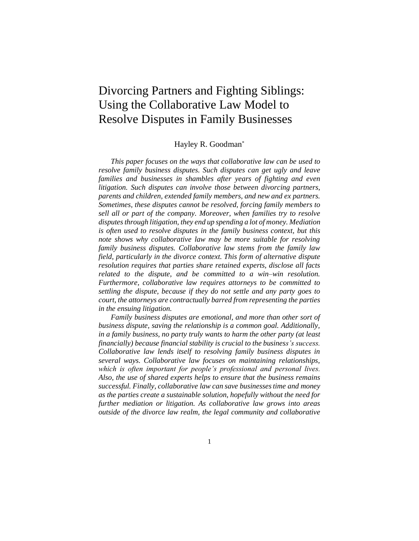## Divorcing Partners and Fighting Siblings: Using the Collaborative Law Model to Resolve Disputes in Family Businesses

## Hayley R. Goodman\*

*This paper focuses on the ways that collaborative law can be used to resolve family business disputes. Such disputes can get ugly and leave families and businesses in shambles after years of fighting and even litigation. Such disputes can involve those between divorcing partners, parents and children, extended family members, and new and ex partners. Sometimes, these disputes cannot be resolved, forcing family members to sell all or part of the company. Moreover, when families try to resolve disputes through litigation, they end up spending a lot of money. Mediation is often used to resolve disputes in the family business context, but this note shows why collaborative law may be more suitable for resolving family business disputes. Collaborative law stems from the family law field, particularly in the divorce context. This form of alternative dispute resolution requires that parties share retained experts, disclose all facts related to the dispute, and be committed to a win–win resolution. Furthermore, collaborative law requires attorneys to be committed to settling the dispute, because if they do not settle and any party goes to court, the attorneys are contractually barred from representing the parties in the ensuing litigation.*

*Family business disputes are emotional, and more than other sort of business dispute, saving the relationship is a common goal. Additionally, in a family business, no party truly wants to harm the other party (at least financially) because financial stability is crucial to the business's success. Collaborative law lends itself to resolving family business disputes in several ways. Collaborative law focuses on maintaining relationships, which is often important for people's professional and personal lives. Also, the use of shared experts helps to ensure that the business remains successful. Finally, collaborative law can save businesses time and money as the parties create a sustainable solution, hopefully without the need for further mediation or litigation. As collaborative law grows into areas outside of the divorce law realm, the legal community and collaborative*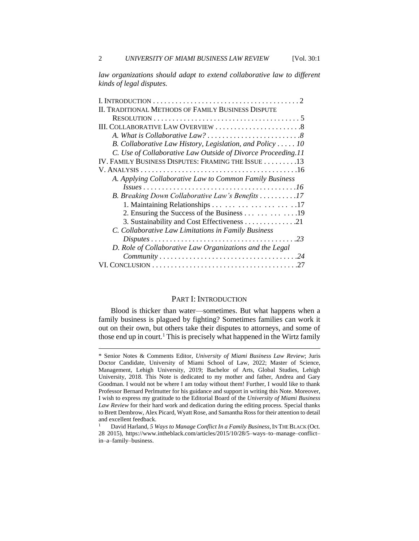law organizations should adapt to extend collaborative law to different *kinds of legal disputes.*

| I. INTRODUCTION $\ldots \ldots \ldots \ldots \ldots \ldots \ldots \ldots \ldots \ldots \ldots 2$ |
|--------------------------------------------------------------------------------------------------|
| II. TRADITIONAL METHODS OF FAMILY BUSINESS DISPUTE                                               |
|                                                                                                  |
|                                                                                                  |
|                                                                                                  |
| B. Collaborative Law History, Legislation, and Policy  10                                        |
| C. Use of Collaborative Law Outside of Divorce Proceeding.11                                     |
| IV. FAMILY BUSINESS DISPUTES: FRAMING THE ISSUE 13                                               |
|                                                                                                  |
| A. Applying Collaborative Law to Common Family Business                                          |
|                                                                                                  |
| B. Breaking Down Collaborative Law's Benefits 17                                                 |
|                                                                                                  |
| 2. Ensuring the Success of the Business 19                                                       |
| 3. Sustainability and Cost Effectiveness 21                                                      |
| C. Collaborative Law Limitations in Family Business                                              |
|                                                                                                  |
| D. Role of Collaborative Law Organizations and the Legal                                         |
|                                                                                                  |
|                                                                                                  |
|                                                                                                  |

#### PART I: INTRODUCTION

Blood is thicker than water—sometimes. But what happens when a family business is plagued by fighting? Sometimes families can work it out on their own, but others take their disputes to attorneys, and some of those end up in court.<sup>1</sup> This is precisely what happened in the Wirtz family

<sup>\*</sup> Senior Notes & Comments Editor, *University of Miami Business Law Review*; Juris Doctor Candidate, University of Miami School of Law, 2022; Master of Science, Management, Lehigh University, 2019; Bachelor of Arts, Global Studies, Lehigh University, 2018. This Note is dedicated to my mother and father, Andrea and Gary Goodman. I would not be where I am today without them! Further, I would like to thank Professor Bernard Perlmutter for his guidance and support in writing this Note. Moreover, I wish to express my gratitude to the Editorial Board of the *University of Miami Business Law Review* for their hard work and dedication during the editing process. Special thanks to Brett Dembrow, Alex Picard, Wyatt Rose, and Samantha Ross for their attention to detail and excellent feedback.

<sup>1</sup> David Harland, *5 Ways to Manage Conflict In a Family Business*, IN THE BLACK (Oct. 28 2015), https://www.intheblack.com/articles/2015/10/28/5–ways–to–manage–conflict– in–a–family–business.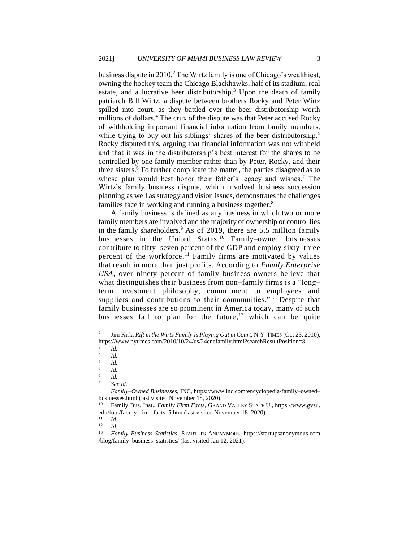business dispute in 2010.<sup>2</sup> The Wirtz family is one of Chicago's wealthiest, owning the hockey team the Chicago Blackhawks, half of its stadium, real estate, and a lucrative beer distributorship.<sup>3</sup> Upon the death of family patriarch Bill Wirtz, a dispute between brothers Rocky and Peter Wirtz spilled into court, as they battled over the beer distributorship worth millions of dollars.<sup>4</sup> The crux of the dispute was that Peter accused Rocky of withholding important financial information from family members, while trying to buy out his siblings' shares of the beer distributorship.<sup>5</sup> Rocky disputed this, arguing that financial information was not withheld and that it was in the distributorship's best interest for the shares to be controlled by one family member rather than by Peter, Rocky, and their three sisters.<sup>6</sup> To further complicate the matter, the parties disagreed as to whose plan would best honor their father's legacy and wishes.<sup>7</sup> The Wirtz's family business dispute, which involved business succession planning as well as strategy and vision issues, demonstrates the challenges families face in working and running a business together.<sup>8</sup>

A family business is defined as any business in which two or more family members are involved and the majority of ownership or control lies in the family shareholders.<sup>9</sup> As of 2019, there are 5.5 million family businesses in the United States.<sup>10</sup> Family–owned businesses contribute to fifty–seven percent of the GDP and employ sixty–three percent of the workforce.<sup>11</sup> Family firms are motivated by values that result in more than just profits. According to *Family Enterprise USA*, over ninety percent of family business owners believe that what distinguishes their business from non–family firms is a "long– term investment philosophy, commitment to employees and suppliers and contributions to their communities."<sup>12</sup> Despite that family businesses are so prominent in America today, many of such businesses fail to plan for the future,<sup>13</sup> which can be quite

<sup>2</sup> Jim Kirk, *Rift in the Wirtz Family Is Playing Out in Court*, N.Y.TIMES (Oct 23, 2010), https://www.nytimes.com/2010/10/24/us/24cncfamily.html?searchResultPosition=8.

<sup>3</sup> *Id.*

<sup>4</sup> *Id.* 5

*Id.* 6

*Id.* 7

*Id.*

<sup>8</sup> *See id.*

<sup>9</sup> *Family–Owned Businesses*, INC, https://www.inc.com/encyclopedia/family–owned– businesses.html (last visited November 18, 2020).

<sup>10</sup> Family Bus. Inst., *Family Firm Facts*, GRAND VALLEY STATE U., https://www.gvsu. edu/fobi/family–firm–facts–5.htm (last visited November 18, 2020).<br> $\frac{11}{11}$ 

 $\frac{11}{12}$  *Id.* 

 $\frac{12}{13}$  *Id.* 

<sup>13</sup> *Family Business Statistics*, STARTUPS ANONYMOUS, https://startupsanonymous.com /blog/family–business–statistics/ (last visited Jan 12, 2021).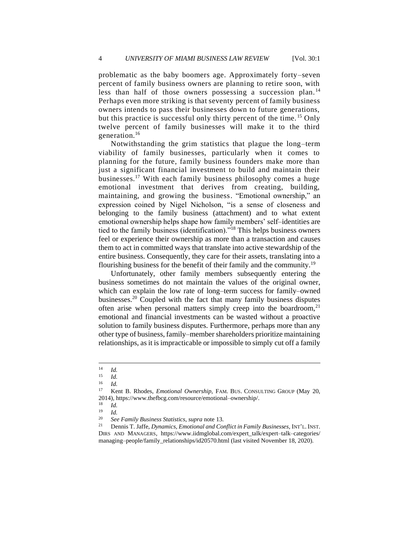problematic as the baby boomers age. Approximately forty–seven percent of family business owners are planning to retire soon, with less than half of those owners possessing a succession plan. <sup>14</sup> Perhaps even more striking is that seventy percent of family business owners intends to pass their businesses down to future generations, but this practice is successful only thirty percent of the time. <sup>15</sup> Only twelve percent of family businesses will make it to the third generation.<sup>16</sup>

Notwithstanding the grim statistics that plague the long–term viability of family businesses, particularly when it comes to planning for the future, family business founders make more than just a significant financial investment to build and maintain their businesses.<sup>17</sup> With each family business philosophy comes a huge emotional investment that derives from creating, building, maintaining, and growing the business. "Emotional ownership," an expression coined by Nigel Nicholson, "is a sense of closeness and belonging to the family business (attachment) and to what extent emotional ownership helps shape how family members' self–identities are tied to the family business (identification)."<sup>18</sup> This helps business owners feel or experience their ownership as more than a transaction and causes them to act in committed ways that translate into active stewardship of the entire business. Consequently, they care for their assets, translating into a flourishing business for the benefit of their family and the community.<sup>19</sup>

Unfortunately, other family members subsequently entering the business sometimes do not maintain the values of the original owner, which can explain the low rate of long–term success for family–owned businesses.<sup>20</sup> Coupled with the fact that many family business disputes often arise when personal matters simply creep into the boardroom,<sup>21</sup> emotional and financial investments can be wasted without a proactive solution to family business disputes. Furthermore, perhaps more than any other type of business, family–member shareholders prioritize maintaining relationships, as it is impracticable or impossible to simply cut off a family

 $\frac{14}{15}$  *Id.* 

 $\frac{15}{16}$  *Id.* 

 $\frac{16}{17}$  *Id.* 

Kent B. Rhodes, *Emotional Ownership*, FAM. BUS. CONSULTING GROUP (May 20, 2014), https://www.thefbcg.com/resource/emotional–ownership/.<br><sup>18</sup>  $I$ 

 $\frac{18}{19}$  *Id.* 

 $\frac{19}{20}$  *Id.* 

<sup>20</sup> *See Family Business Statistics*, *supra* note 13.

<sup>21</sup> Dennis T. Jaffe, *Dynamics, Emotional and Conflict in Family Businesses*, INT'L. INST. DIRS AND MANAGERS, https://www.iidmglobal.com/expert\_talk/expert–talk–categories/ managing–people/family\_relationships/id20570.html (last visited November 18, 2020).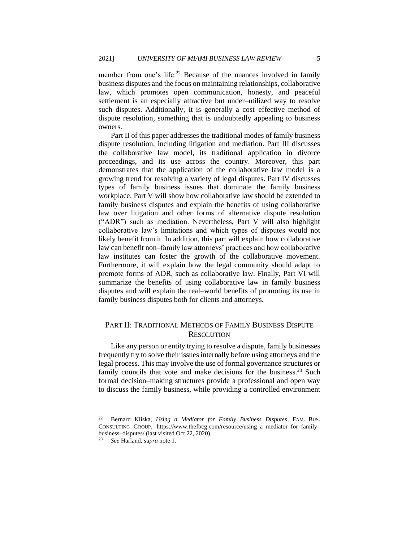member from one's life.<sup>22</sup> Because of the nuances involved in family business disputes and the focus on maintaining relationships, collaborative law, which promotes open communication, honesty, and peaceful settlement is an especially attractive but under–utilized way to resolve such disputes. Additionally, it is generally a cost–effective method of dispute resolution, something that is undoubtedly appealing to business owners.

Part II of this paper addresses the traditional modes of family business dispute resolution, including litigation and mediation. Part III discusses the collaborative law model, its traditional application in divorce proceedings, and its use across the country. Moreover, this part demonstrates that the application of the collaborative law model is a growing trend for resolving a variety of legal disputes. Part IV discusses types of family business issues that dominate the family business workplace. Part V will show how collaborative law should be extended to family business disputes and explain the benefits of using collaborative law over litigation and other forms of alternative dispute resolution ("ADR") such as mediation. Nevertheless, Part V will also highlight collaborative law's limitations and which types of disputes would not likely benefit from it. In addition, this part will explain how collaborative law can benefit non–family law attorneys' practices and how collaborative law institutes can foster the growth of the collaborative movement. Furthermore, it will explain how the legal community should adapt to promote forms of ADR, such as collaborative law. Finally, Part VI will summarize the benefits of using collaborative law in family business disputes and will explain the real–world benefits of promoting its use in family business disputes both for clients and attorneys.

## PART II: TRADITIONAL METHODS OF FAMILY BUSINESS DISPUTE **RESOLUTION**

Like any person or entity trying to resolve a dispute, family businesses frequently try to solve their issues internally before using attorneys and the legal process. This may involve the use of formal governance structures or family councils that vote and make decisions for the business.<sup>23</sup> Such formal decision–making structures provide a professional and open way to discuss the family business, while providing a controlled environment

<sup>22</sup> Bernard Kliska, *Using a Mediator for Family Business Disputes*, FAM. BUS. CONSULTING GROUP, https://www.thefbcg.com/resource/using–a–mediator–for–family– business–disputes/ (last visited Oct 22, 2020).

<sup>23</sup> *See* Harland, *supra* note 1.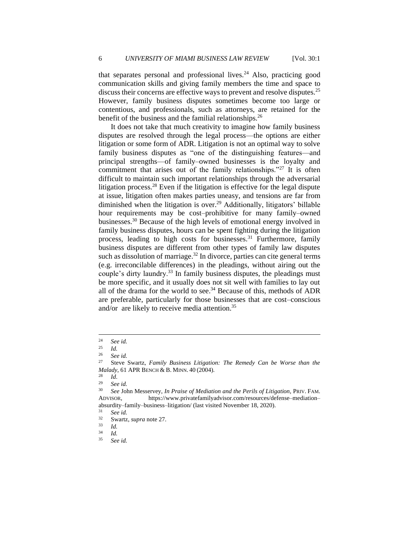that separates personal and professional lives. $24$  Also, practicing good communication skills and giving family members the time and space to discuss their concerns are effective ways to prevent and resolve disputes.<sup>25</sup> However, family business disputes sometimes become too large or contentious, and professionals, such as attorneys, are retained for the benefit of the business and the familial relationships.<sup>26</sup>

It does not take that much creativity to imagine how family business disputes are resolved through the legal process—the options are either litigation or some form of ADR. Litigation is not an optimal way to solve family business disputes as "one of the distinguishing features—and principal strengths—of family–owned businesses is the loyalty and commitment that arises out of the family relationships."<sup>27</sup> It is often difficult to maintain such important relationships through the adversarial litigation process.<sup>28</sup> Even if the litigation is effective for the legal dispute at issue, litigation often makes parties uneasy, and tensions are far from diminished when the litigation is over.<sup>29</sup> Additionally, litigators' billable hour requirements may be cost–prohibitive for many family–owned businesses.<sup>30</sup> Because of the high levels of emotional energy involved in family business disputes, hours can be spent fighting during the litigation process, leading to high costs for businesses.<sup>31</sup> Furthermore, family business disputes are different from other types of family law disputes such as dissolution of marriage. $32$  In divorce, parties can cite general terms (e.g. irreconcilable differences) in the pleadings, without airing out the couple's dirty laundry.<sup>33</sup> In family business disputes, the pleadings must be more specific, and it usually does not sit well with families to lay out all of the drama for the world to see.<sup>34</sup> Because of this, methods of ADR are preferable, particularly for those businesses that are cost–conscious and/or are likely to receive media attention.<sup>35</sup>

 $\frac{28}{29}$  *Id.* 

<sup>&</sup>lt;sup>24</sup> *See id.* <sup>25</sup> *Id.* 

 $rac{25}{26}$  *Id.* 

 $\frac{26}{27}$  *See id.* 

<sup>27</sup> Steve Swartz, *Family Business Litigation: The Remedy Can be Worse than the Malady*, 61 APR BENCH & B. MINN. 40 (2004).

 $\frac{29}{30}$  *See id.* 

<sup>30</sup> *See* John Messervey, *In Praise of Mediation and the Perils of Litigation*, PRIV. FAM. ADVISOR, https://www.privatefamilyadvisor.com/resources/defense–mediation– absurdity–family–business–litigation/ (last visited November 18, 2020).<br> $31 \qquad$ See id

 $\frac{31}{32}$  *See id.* 

 $rac{32}{33}$  Swartz, *supra* note 27.

 $\frac{33}{34}$  *Id.* 

 $rac{34}{35}$  *Id.* 

<sup>35</sup> *See id.*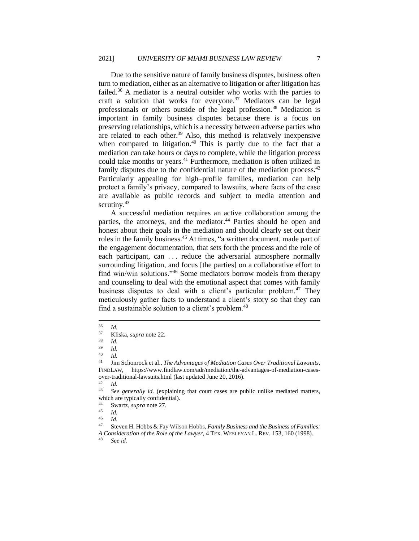Due to the sensitive nature of family business disputes, business often turn to mediation, either as an alternative to litigation or after litigation has failed.<sup>36</sup> A mediator is a neutral outsider who works with the parties to craft a solution that works for everyone.<sup>37</sup> Mediators can be legal professionals or others outside of the legal profession.<sup>38</sup> Mediation is important in family business disputes because there is a focus on preserving relationships, which is a necessity between adverse parties who are related to each other.<sup>39</sup> Also, this method is relatively inexpensive when compared to litigation.<sup>40</sup> This is partly due to the fact that a mediation can take hours or days to complete, while the litigation process could take months or years.<sup>41</sup> Furthermore, mediation is often utilized in family disputes due to the confidential nature of the mediation process. $42$ Particularly appealing for high–profile families, mediation can help protect a family's privacy, compared to lawsuits, where facts of the case are available as public records and subject to media attention and scrutiny.<sup>43</sup>

A successful mediation requires an active collaboration among the parties, the attorneys, and the mediator.<sup>44</sup> Parties should be open and honest about their goals in the mediation and should clearly set out their roles in the family business.<sup>45</sup> At times, "a written document, made part of the engagement documentation, that sets forth the process and the role of each participant, can . . . reduce the adversarial atmosphere normally surrounding litigation, and focus [the parties] on a collaborative effort to find win/win solutions."<sup>46</sup> Some mediators borrow models from therapy and counseling to deal with the emotional aspect that comes with family business disputes to deal with a client's particular problem.<sup>47</sup> They meticulously gather facts to understand a client's story so that they can find a sustainable solution to a client's problem.<sup>48</sup>

 $rac{36}{37}$  *Id.* 

<sup>37</sup> Kliska, *supra* note 22.

 $rac{38}{39}$  *Id.* 

 $\frac{39}{40}$  *Id.* 

 $\frac{40}{41}$  *Id.* 

<sup>41</sup> Jim Schonrock et al., *The Advantages of Mediation Cases Over Traditional Lawsuits*, FINDLAW, https://www.findlaw.com/adr/mediation/the-advantages-of-mediation-casesover-traditional-lawsuits.html (last updated June 20, 2016).

 $\frac{42}{43}$  *Id.* 

See generally id. (explaining that court cases are public unlike mediated matters, which are typically confidential).

 $\frac{44}{45}$  Swartz, *supra* note 27.

 $\frac{45}{46}$  *Id.* 

 $\frac{46}{47}$  *Id.* 

<sup>47</sup> Steven H. Hobbs & Fay Wilson Hobbs, *Family Business and the Business of Families: A Consideration of the Role of the Lawyer*, 4 TEX. WESLEYAN L. REV. 153, 160 (1998).

See id.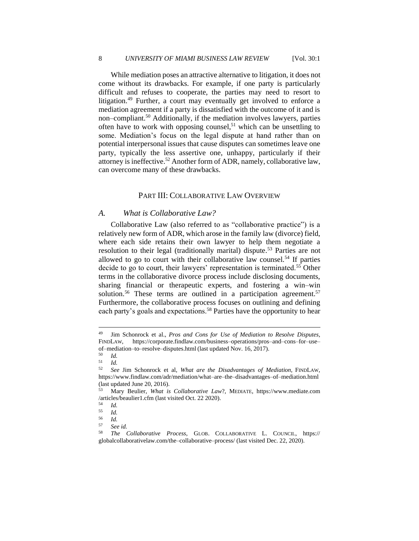While mediation poses an attractive alternative to litigation, it does not come without its drawbacks. For example, if one party is particularly difficult and refuses to cooperate, the parties may need to resort to litigation.<sup>49</sup> Further, a court may eventually get involved to enforce a mediation agreement if a party is dissatisfied with the outcome of it and is non–compliant.<sup>50</sup> Additionally, if the mediation involves lawyers, parties often have to work with opposing counsel,<sup>51</sup> which can be unsettling to some. Mediation's focus on the legal dispute at hand rather than on potential interpersonal issues that cause disputes can sometimes leave one party, typically the less assertive one, unhappy, particularly if their attorney is ineffective.<sup>52</sup> Another form of ADR, namely, collaborative law, can overcome many of these drawbacks.

### PART III: COLLABORATIVE LAW OVERVIEW

#### *A. What is Collaborative Law?*

Collaborative Law (also referred to as "collaborative practice") is a relatively new form of ADR, which arose in the family law (divorce) field, where each side retains their own lawyer to help them negotiate a resolution to their legal (traditionally marital) dispute.<sup>53</sup> Parties are not allowed to go to court with their collaborative law counsel.<sup>54</sup> If parties decide to go to court, their lawyers' representation is terminated.<sup>55</sup> Other terms in the collaborative divorce process include disclosing documents, sharing financial or therapeutic experts, and fostering a win–win solution.<sup>56</sup> These terms are outlined in a participation agreement.<sup>57</sup> Furthermore, the collaborative process focuses on outlining and defining each party's goals and expectations.<sup>58</sup> Parties have the opportunity to hear

<sup>49</sup> Jim Schonrock et al., *Pros and Cons for Use of Mediation to Resolve Disputes*, FINDLAW, https://corporate.findlaw.com/business–operations/pros–and–cons–for–use– of–mediation–to–resolve–disputes.html (last updated Nov. 16, 2017).

 $\begin{array}{cc} 50 & Id. \\ 51 & Li. \end{array}$ 

 $\frac{51}{52}$  *Id.* 

<sup>52</sup> *See* Jim Schonrock et al, *What are the Disadvantages of Mediation*, FINDLAW, https://www.findlaw.com/adr/mediation/what–are–the–disadvantages–of–mediation.html (last updated June 20, 2016).

<sup>53</sup> Mary Beulier, *What is Collaborative Law*?, MEDIATE, https://www.mediate.com /articles/beaulier1.cfm (last visited Oct. 22 2020).

 $\frac{54}{55}$  *Id.* 

 $\begin{array}{cc} 55 & Id. \\ 56 & Id. \end{array}$ 

 $rac{56}{57}$  *Id.* 

<sup>57</sup> *See id.*

<sup>58</sup> *The Collaborative Process*, GLOB. COLLABORATIVE L. COUNCIL, https:// globalcollaborativelaw.com/the–collaborative–process/ (last visited Dec. 22, 2020).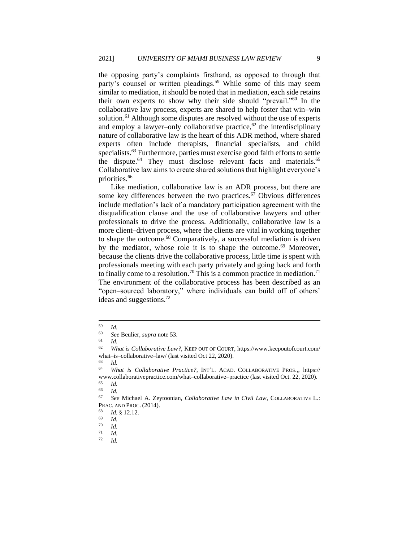the opposing party's complaints firsthand, as opposed to through that party's counsel or written pleadings.<sup>59</sup> While some of this may seem similar to mediation, it should be noted that in mediation, each side retains their own experts to show why their side should "prevail."<sup>60</sup> In the collaborative law process, experts are shared to help foster that win–win solution.<sup>61</sup> Although some disputes are resolved without the use of experts and employ a lawyer–only collaborative practice, $62$  the interdisciplinary nature of collaborative law is the heart of this ADR method, where shared experts often include therapists, financial specialists, and child specialists.<sup>63</sup> Furthermore, parties must exercise good faith efforts to settle the dispute.<sup>64</sup> They must disclose relevant facts and materials.<sup>65</sup> Collaborative law aims to create shared solutions that highlight everyone's priorities.<sup>66</sup>

Like mediation, collaborative law is an ADR process, but there are some key differences between the two practices. $67$  Obvious differences include mediation's lack of a mandatory participation agreement with the disqualification clause and the use of collaborative lawyers and other professionals to drive the process. Additionally, collaborative law is a more client–driven process, where the clients are vital in working together to shape the outcome.<sup>68</sup> Comparatively, a successful mediation is driven by the mediator, whose role it is to shape the outcome.<sup>69</sup> Moreover, because the clients drive the collaborative process, little time is spent with professionals meeting with each party privately and going back and forth to finally come to a resolution.<sup>70</sup> This is a common practice in mediation.<sup>71</sup> The environment of the collaborative process has been described as an "open–sourced laboratory," where individuals can build off of others' ideas and suggestions.<sup>72</sup>

 $\frac{59}{60}$  *Id.* 

<sup>60</sup> *See* Beulier, *supra* note 53.

 $\frac{61}{62}$  *Id.* 

What is Collaborative Law?, KEEP OUT OF COURT, https://www.keepoutofcourt.com/ what–is–collaborative–law/ (last visited Oct 22, 2020).

 $\frac{63}{64}$  *Id.* 

<sup>64</sup> *What is Collaborative Practice?*, INT'L. ACAD. COLLABORATIVE PROS.,, https:// www.collaborativepractice.com/what–collaborative–practice (last visited Oct. 22, 2020).

 $\begin{array}{cc} 65 & Id. \\ 66 & Id. \end{array}$ 

 $\frac{66}{67}$  *Id.* 

<sup>67</sup> *See* Michael A. Zeytoonian, *Collaborative Law in Civil Law*, COLLABORATIVE L.: PRAC. AND PROC. (2014).

 $\frac{68}{69}$  *Id.* § 12.12.

 $\frac{69}{70}$  *Id.* 

 $\frac{70}{71}$  *Id.* 

 $\frac{71}{72}$  *Id.*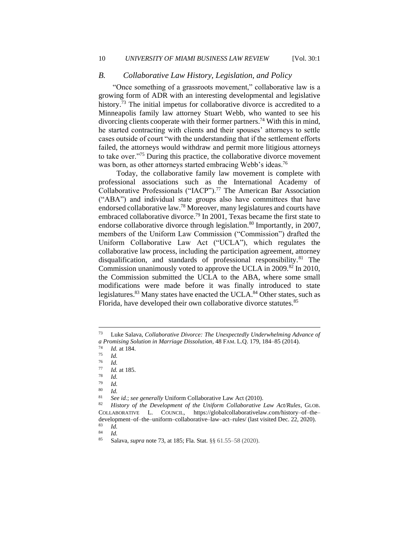#### *B. Collaborative Law History, Legislation, and Policy*

"Once something of a grassroots movement," collaborative law is a growing form of ADR with an interesting developmental and legislative history.<sup>73</sup> The initial impetus for collaborative divorce is accredited to a Minneapolis family law attorney Stuart Webb, who wanted to see his divorcing clients cooperate with their former partners.<sup>74</sup> With this in mind, he started contracting with clients and their spouses' attorneys to settle cases outside of court "with the understanding that if the settlement efforts failed, the attorneys would withdraw and permit more litigious attorneys to take over."<sup>75</sup> During this practice, the collaborative divorce movement was born, as other attorneys started embracing Webb's ideas.<sup>76</sup>

 Today, the collaborative family law movement is complete with professional associations such as the International Academy of Collaborative Professionals ("IACP").<sup>77</sup> The American Bar Association ("ABA") and individual state groups also have committees that have endorsed collaborative law.<sup>78</sup> Moreover, many legislatures and courts have embraced collaborative divorce.<sup>79</sup> In 2001, Texas became the first state to endorse collaborative divorce through legislation.<sup>80</sup> Importantly, in 2007, members of the Uniform Law Commission ("Commission") drafted the Uniform Collaborative Law Act ("UCLA"), which regulates the collaborative law process, including the participation agreement, attorney disqualification, and standards of professional responsibility.<sup>81</sup> The Commission unanimously voted to approve the UCLA in 2009.<sup>82</sup> In 2010, the Commission submitted the UCLA to the ABA, where some small modifications were made before it was finally introduced to state legislatures.<sup>83</sup> Many states have enacted the UCLA.<sup>84</sup> Other states, such as Florida, have developed their own collaborative divorce statutes.<sup>85</sup>

 $\frac{79}{80}$  *Id.* 

 $\frac{80}{81}$  *Id.* <sup>81</sup> *See id.*; *see generally* Uniform Collaborative Law Act (2010).

 $\frac{83}{84}$  *Id.*  $\frac{84}{85}$  *Id.* 

<sup>73</sup> Luke Salava, *Collaborative Divorce: The Unexpectedly Underwhelming Advance of a Promising Solution in Marriage Dissolution*, 48 FAM. L.Q. 179, 184–85 (2014).

 $\frac{74}{75}$  *Id.* at 184.

*Id.* 

 $rac{76}{77}$  *Id.* 

 $\frac{77}{78}$  *Id.* at 185.

 $\frac{78}{79}$  *Id.* 

<sup>82</sup> *History of the Development of the Uniform Collaborative Law Act/Rules*, GLOB. COLLABORATIVE L. COUNCIL, https://globalcollaborativelaw.com/history–of–the– development–of–the–uniform–collaborative–law–act–rules/ (last visited Dec. 22, 2020).

<sup>85</sup> Salava, *supra* note 73, at 185; Fla. Stat. §§ 61.55–58 (2020).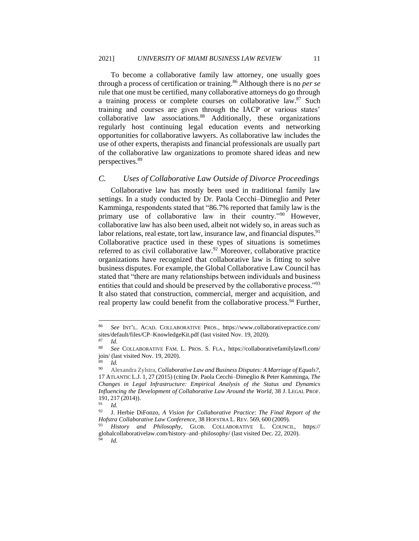To become a collaborative family law attorney, one usually goes through a process of certification or training.<sup>86</sup> Although there is no *per se* rule that one must be certified, many collaborative attorneys do go through a training process or complete courses on collaborative law.<sup>87</sup> Such training and courses are given through the IACP or various states' collaborative law associations.<sup>88</sup> Additionally, these organizations regularly host continuing legal education events and networking opportunities for collaborative lawyers. As collaborative law includes the use of other experts, therapists and financial professionals are usually part of the collaborative law organizations to promote shared ideas and new perspectives.<sup>89</sup>

#### *C. Uses of Collaborative Law Outside of Divorce Proceedings*

Collaborative law has mostly been used in traditional family law settings. In a study conducted by Dr. Paola Cecchi–Dimeglio and Peter Kamminga, respondents stated that "86.7% reported that family law is the primary use of collaborative law in their country."<sup>90</sup> However, collaborative law has also been used, albeit not widely so, in areas such as labor relations, real estate, tort law, insurance law, and financial disputes.<sup>91</sup> Collaborative practice used in these types of situations is sometimes referred to as civil collaborative law.<sup>92</sup> Moreover, collaborative practice organizations have recognized that collaborative law is fitting to solve business disputes. For example, the Global Collaborative Law Council has stated that "there are many relationships between individuals and business entities that could and should be preserved by the collaborative process."<sup>93</sup> It also stated that construction, commercial, merger and acquisition, and real property law could benefit from the collaborative process.<sup>94</sup> Further,

<sup>86</sup> *See* INT'L. ACAD. COLLABORATIVE PROS., https://www.collaborativepractice.com/ sites/default/files/CP–KnowledgeKit.pdf (last visited Nov. 19, 2020).

 $rac{87}{88}$  *Id.* 

<sup>88</sup> *See* COLLABORATIVE FAM. L. PROS. S. FLA., https://collaborativefamilylawfl.com/ join/ (last visited Nov. 19, 2020).

 $\frac{89}{90}$  *Id.* 

<sup>90</sup> Alexandra Zylstra, *Collaborative Law and Business Disputes: A Marriage of Equals?*, 17 ATLANTIC L.J. 1, 27 (2015) (citing Dr. Paola Cecchi–Dimeglio & Peter Kamminga, *[The](https://1.next.westlaw.com/Link/Document/FullText?findType=Y&serNum=0406725734&pubNum=0100319&originatingDoc=Ieec25396c0d811e698dc8b09b4f043e0&refType=LR&fi=co_pp_sp_100319_217&originationContext=document&transitionType=DocumentItem&contextData=(sc.Search)#co_pp_sp_100319_217) Changes in Legal [Infrastructure:](https://1.next.westlaw.com/Link/Document/FullText?findType=Y&serNum=0406725734&pubNum=0100319&originatingDoc=Ieec25396c0d811e698dc8b09b4f043e0&refType=LR&fi=co_pp_sp_100319_217&originationContext=document&transitionType=DocumentItem&contextData=(sc.Search)#co_pp_sp_100319_217) Empirical Analysis of the Status and Dynamics Influencing the Development of [Collaborative](https://1.next.westlaw.com/Link/Document/FullText?findType=Y&serNum=0406725734&pubNum=0100319&originatingDoc=Ieec25396c0d811e698dc8b09b4f043e0&refType=LR&fi=co_pp_sp_100319_217&originationContext=document&transitionType=DocumentItem&contextData=(sc.Search)#co_pp_sp_100319_217) Law Around the World*, 38 J. LEGAL PROF.  $191, 217 (2014)$ .

 $\frac{91}{92}$  *Id.* 

<sup>92</sup> J. Herbie DiFonzo, *A Vision for Collaborative Practice*: *The Final Report of the Hofstra Collaborative Law Conference*, 38 HOFSTRA L. REV. 569, 600 (2009)*.*

<sup>93</sup> *History and Philosophy*, GLOB. COLLABORATIVE L. COUNCIL, https:// globalcollaborativelaw.com/history–and–philosophy/ (last visited Dec. 22, 2020). <sup>94</sup> *Id.*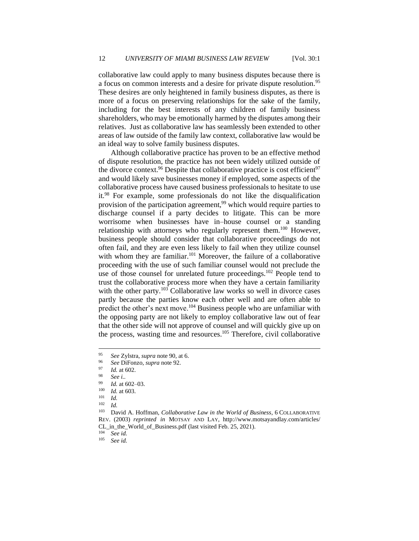collaborative law could apply to many business disputes because there is a focus on common interests and a desire for private dispute resolution.<sup>95</sup> These desires are only heightened in family business disputes, as there is more of a focus on preserving relationships for the sake of the family, including for the best interests of any children of family business shareholders, who may be emotionally harmed by the disputes among their relatives. Just as collaborative law has seamlessly been extended to other areas of law outside of the family law context, collaborative law would be an ideal way to solve family business disputes.

Although collaborative practice has proven to be an effective method of dispute resolution, the practice has not been widely utilized outside of the divorce context.<sup>96</sup> Despite that collaborative practice is cost efficient<sup>97</sup> and would likely save businesses money if employed, some aspects of the collaborative process have caused business professionals to hesitate to use it.<sup>98</sup> For example, some professionals do not like the disqualification provision of the participation agreement,<sup>99</sup> which would require parties to discharge counsel if a party decides to litigate. This can be more worrisome when businesses have in–house counsel or a standing relationship with attorneys who regularly represent them.<sup>100</sup> However, business people should consider that collaborative proceedings do not often fail, and they are even less likely to fail when they utilize counsel with whom they are familiar.<sup>101</sup> Moreover, the failure of a collaborative proceeding with the use of such familiar counsel would not preclude the use of those counsel for unrelated future proceedings.<sup>102</sup> People tend to trust the collaborative process more when they have a certain familiarity with the other party. $103$  Collaborative law works so well in divorce cases partly because the parties know each other well and are often able to predict the other's next move.<sup>104</sup> Business people who are unfamiliar with the opposing party are not likely to employ collaborative law out of fear that the other side will not approve of counsel and will quickly give up on the process, wasting time and resources.<sup>105</sup> Therefore, civil collaborative

 $104$  *See id.*<br> $105$  *See id.* 

See id.

<sup>95</sup> *See* Zylstra, *supra* note 90, at 6.

<sup>96</sup> *See* DiFonzo, *supra* note 92.

 $\frac{97}{98}$  *Id.* at 602.

<sup>98</sup> *See i..*

 $\frac{99}{100}$  *Id.* at 602–03.

 $\frac{100}{101}$  *Id.* at 603.

 $\frac{101}{102}$  *Id.* 

 $\frac{102}{103}$  *Id.* 

<sup>103</sup> David A. Hoffman, *Collaborative Law in the World of Business*, 6 COLLABORATIVE REV. (2003) *reprinted in* MOTSAY AND LAY, http://www.motsayandlay.com/articles/ CL\_in\_the\_World\_of\_Business.pdf (last visited Feb. 25, 2021).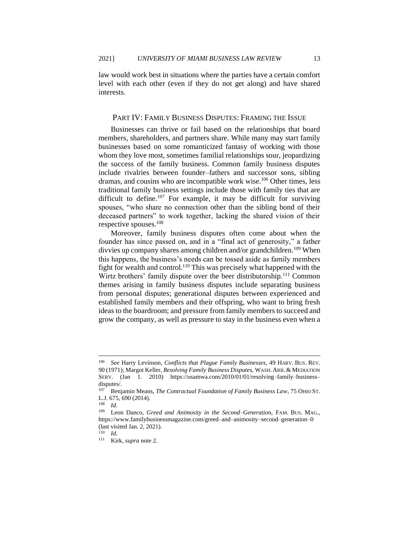law would work best in situations where the parties have a certain comfort level with each other (even if they do not get along) and have shared interests.

#### PART IV: FAMILY BUSINESS DISPUTES: FRAMING THE ISSUE

Businesses can thrive or fail based on the relationships that board members, shareholders, and partners share. While many may start family businesses based on some romanticized fantasy of working with those whom they love most, sometimes familial relationships sour, jeopardizing the success of the family business. Common family business disputes include rivalries between founder–fathers and successor sons, sibling dramas, and cousins who are incompatible work wise.<sup>106</sup> Other times, less traditional family business settings include those with family ties that are difficult to define.<sup>107</sup> For example, it may be difficult for surviving spouses, "who share no connection other than the sibling bond of their deceased partners" to work together, lacking the shared vision of their respective spouses.<sup>108</sup>

Moreover, family business disputes often come about when the founder has since passed on, and in a "final act of generosity," a father divvies up company shares among children and/or grandchildren.<sup>109</sup> When this happens, the business's needs can be tossed aside as family members fight for wealth and control.<sup>110</sup> This was precisely what happened with the Wirtz brothers' family dispute over the beer distributorship.<sup>111</sup> Common themes arising in family business disputes include separating business from personal disputes; generational disputes between experienced and established family members and their offspring, who want to bring fresh ideas to the boardroom; and pressure from family members to succeed and grow the company, as well as pressure to stay in the business even when a

<sup>106</sup> *See* Harry Levinson, *Conflicts that Plague Family Businesses*, 49 HARV. BUS. REV. 90 (1971); Margot Keller, *Resolving Family Business Disputes*, WASH.ARB. & MEDIATION SERV. (Jan 1. 2010) https://usamwa.com/2010/01/01/resolving–family–business– disputes/.

<sup>&</sup>lt;sup>107</sup> Benjamin Means, *The Contractual Foundation of Family Business Law*, 75 OHIO ST. L.J. 675, 690 (2014).<br> $^{108}$  Ld

 $\frac{108}{109}$  *Id.* 

Leon Danco, *Greed and Animosity in the Second–Generation*, FAM. BUS. MAG., https://www.familybusinessmagazine.com/greed–and–animosity–second–generation–0 (last visited Jan. 2, 2021).

<sup>110</sup> *Id.*

<sup>111</sup> Kirk, *supra* note 2.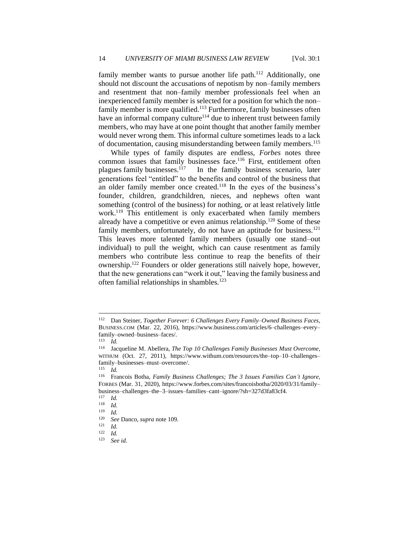family member wants to pursue another life path. $112$  Additionally, one should not discount the accusations of nepotism by non–family members and resentment that non–family member professionals feel when an inexperienced family member is selected for a position for which the non– family member is more qualified.<sup>113</sup> Furthermore, family businesses often have an informal company culture<sup> $114$ </sup> due to inherent trust between family members, who may have at one point thought that another family member would never wrong them. This informal culture sometimes leads to a lack of documentation, causing misunderstanding between family members.<sup>115</sup>

While types of family disputes are endless, *Forbes* notes three common issues that family businesses face.<sup>116</sup> First, entitlement often plagues family businesses.<sup>117</sup> In the family business scenario, later In the family business scenario, later generations feel "entitled" to the benefits and control of the business that an older family member once created.<sup>118</sup> In the eyes of the business's founder, children, grandchildren, nieces, and nephews often want something (control of the business) for nothing, or at least relatively little work.<sup>119</sup> This entitlement is only exacerbated when family members already have a competitive or even animus relationship.<sup>120</sup> Some of these family members, unfortunately, do not have an aptitude for business.<sup>121</sup> This leaves more talented family members (usually one stand–out individual) to pull the weight, which can cause resentment as family members who contribute less continue to reap the benefits of their ownership.<sup>122</sup> Founders or older generations still naively hope, however, that the new generations can "work it out," leaving the family business and often familial relationships in shambles.<sup>123</sup>

<sup>112</sup> Dan Steiner, *Together Forever: 6 Challenges Every Family–Owned Business Faces*, BUSINESS.COM (Mar. 22, 2016), https://www.business.com/articles/6–challenges–every– family–owned–business–faces/.

 $\frac{113}{114}$  *Id.* 

Jacqueline M. Abellera, *The Top 10 Challenges Family Businesses Must Overcome*, WITHUM (Oct. 27, 2011), https://www.withum.com/resources/the–top–10–challenges– family–businesses–must–overcome/.

<sup>115</sup> *Id.*

<sup>116</sup> Francois Botha, *Family Business Challenges; The 3 Issues Families Can't Ignore*, FORBES (Mar. 31, 2020), https://www.forbes.com/sites/francoisbotha/2020/03/31/family– business–challenges–the–3–issues–families–cant–ignore/?sh=327d3fa83cf4.

 $\frac{117}{118}$  *Id.* 

 $\frac{118}{119}$  *Id.* 

 $\frac{119}{120}$  *Id.* 

<sup>120</sup> *See* Danco, *supra* note 109.

 $\frac{121}{122}$  *Id.* 

 $\frac{122}{123}$  *Id.* 

See id.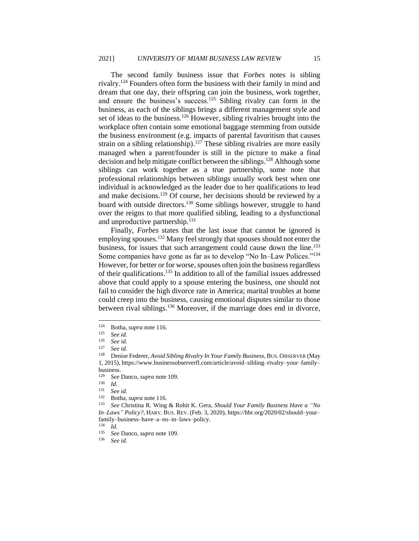The second family business issue that *Forbes* notes is sibling rivalry.<sup>124</sup> Founders often form the business with their family in mind and dream that one day, their offspring can join the business, work together, and ensure the business's success.<sup>125</sup> Sibling rivalry can form in the business, as each of the siblings brings a different management style and set of ideas to the business.<sup>126</sup> However, sibling rivalries brought into the workplace often contain some emotional baggage stemming from outside the business environment (e.g. impacts of parental favoritism that causes strain on a sibling relationship).<sup>127</sup> These sibling rivalries are more easily managed when a parent/founder is still in the picture to make a final decision and help mitigate conflict between the siblings.<sup>128</sup> Although some siblings can work together as a true partnership, some note that professional relationships between siblings usually work best when one individual is acknowledged as the leader due to her qualifications to lead and make decisions.<sup>129</sup> Of course, her decisions should be reviewed by a board with outside directors.<sup>130</sup> Some siblings however, struggle to hand over the reigns to that more qualified sibling, leading to a dysfunctional and unproductive partnership.<sup>131</sup>

Finally, *Forbes* states that the last issue that cannot be ignored is employing spouses.<sup>132</sup> Many feel strongly that spouses should not enter the business, for issues that such arrangement could cause down the line.<sup>133</sup> Some companies have gone as far as to develop "No In–Law Polices."<sup>134</sup> However, for better or for worse, spouses often join the business regardless of their qualifications.<sup>135</sup> In addition to all of the familial issues addressed above that could apply to a spouse entering the business, one should not fail to consider the high divorce rate in America; marital troubles at home could creep into the business, causing emotional disputes similar to those between rival siblings.<sup>136</sup> Moreover, if the marriage does end in divorce,

See id.

<sup>&</sup>lt;sup>124</sup> Botha, *supra* note 116.<br><sup>125</sup> See id

<sup>125</sup> *See id.*

 $\frac{126}{127}$  *See id.* 

See id.

<sup>128</sup> Denise Federer, *Avoid Sibling Rivalry In Your Family Business*, BUS. OBSERVER (May 1, 2015), https://www.businessobserverfl.com/article/avoid–sibling–rivalry–your–family– business.

<sup>129</sup> *See* Danco, *supra* note 109.

 $\frac{130}{131}$  *Id.* 

<sup>131</sup> *See id.*

<sup>132</sup> Botha, *supra* note 116.

<sup>133</sup> *See* Christina R. Wing & Rohit K. Gera, *Should Your Family Business Have a "No In–Laws" Policy?*, HARV. BUS. REV. (Feb. 3, 2020), https://hbr.org/2020/02/should–your– family–business–have–a–no–in–laws–policy.<br> $^{134}$  *M* 

 $\frac{134}{135}$  *Id.* 

<sup>135</sup> *See* Danco, *supra* note 109.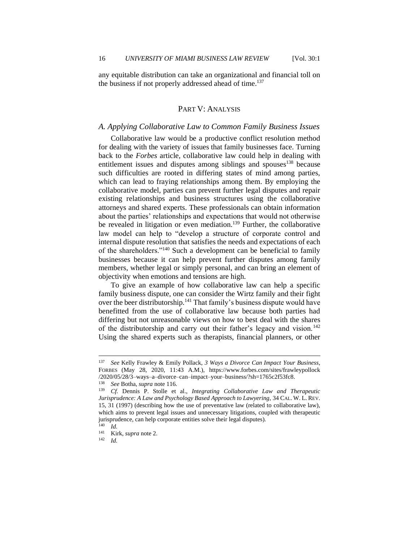any equitable distribution can take an organizational and financial toll on the business if not properly addressed ahead of time.<sup>137</sup>

## PART V: ANALYSIS

#### *A. Applying Collaborative Law to Common Family Business Issues*

Collaborative law would be a productive conflict resolution method for dealing with the variety of issues that family businesses face. Turning back to the *Forbes* article, collaborative law could help in dealing with entitlement issues and disputes among siblings and spouses<sup>138</sup> because such difficulties are rooted in differing states of mind among parties, which can lead to fraying relationships among them. By employing the collaborative model, parties can prevent further legal disputes and repair existing relationships and business structures using the collaborative attorneys and shared experts. These professionals can obtain information about the parties' relationships and expectations that would not otherwise be revealed in litigation or even mediation.<sup>139</sup> Further, the collaborative law model can help to "develop a structure of corporate control and internal dispute resolution that satisfies the needs and expectations of each of the shareholders."<sup>140</sup> Such a development can be beneficial to family businesses because it can help prevent further disputes among family members, whether legal or simply personal, and can bring an element of objectivity when emotions and tensions are high.

To give an example of how collaborative law can help a specific family business dispute, one can consider the Wirtz family and their fight over the beer distributorship.<sup>141</sup> That family's business dispute would have benefitted from the use of collaborative law because both parties had differing but not unreasonable views on how to best deal with the shares of the distributorship and carry out their father's legacy and vision.<sup>142</sup> Using the shared experts such as therapists, financial planners, or other

<sup>137</sup> *See* Kelly Frawley & Emily Pollack, *3 Ways a Divorce Can Impact Your Business*, FORBES (May 28, 2020, 11:43 A.M.), https://www.forbes.com/sites/frawleypollock /2020/05/28/3–ways–a–divorce–can–impact–your–business/?sh=1765c2f53fc8.

<sup>138</sup> *See* Botha, *supra* note 116.

<sup>139</sup> *Cf.* Dennis P. Stolle et al., *Integrating Collaborative Law and Therapeutic Jurisprudence: A Law and Psychology Based Approach to Lawyering*, 34 CAL. W. L. REV. 15, 31 (1997) (describing how the use of preventative law (related to collaborative law), which aims to prevent legal issues and unnecessary litigations, coupled with therapeutic jurisprudence, can help corporate entities solve their legal disputes).

 $\frac{140}{141}$  *Id.* <sup>141</sup> Kirk, *supra* note 2.<br><sup>142</sup> *Id* 

 $Id.$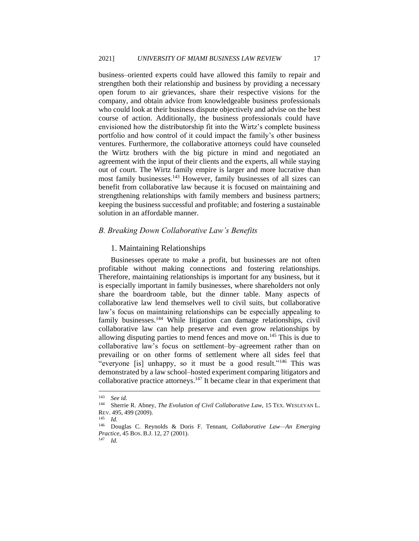business–oriented experts could have allowed this family to repair and strengthen both their relationship and business by providing a necessary open forum to air grievances, share their respective visions for the company, and obtain advice from knowledgeable business professionals who could look at their business dispute objectively and advise on the best course of action. Additionally, the business professionals could have envisioned how the distributorship fit into the Wirtz's complete business portfolio and how control of it could impact the family's other business ventures. Furthermore, the collaborative attorneys could have counseled the Wirtz brothers with the big picture in mind and negotiated an agreement with the input of their clients and the experts, all while staying out of court. The Wirtz family empire is larger and more lucrative than most family businesses.<sup>143</sup> However, family businesses of all sizes can benefit from collaborative law because it is focused on maintaining and strengthening relationships with family members and business partners; keeping the business successful and profitable; and fostering a sustainable solution in an affordable manner.

#### *B. Breaking Down Collaborative Law's Benefits*

#### 1. Maintaining Relationships

Businesses operate to make a profit, but businesses are not often profitable without making connections and fostering relationships. Therefore, maintaining relationships is important for any business, but it is especially important in family businesses, where shareholders not only share the boardroom table, but the dinner table. Many aspects of collaborative law lend themselves well to civil suits, but collaborative law's focus on maintaining relationships can be especially appealing to family businesses.<sup>144</sup> While litigation can damage relationships, civil collaborative law can help preserve and even grow relationships by allowing disputing parties to mend fences and move on.<sup>145</sup> This is due to collaborative law's focus on settlement–by–agreement rather than on prevailing or on other forms of settlement where all sides feel that "everyone [is] unhappy, so it must be a good result."<sup>146</sup> This was demonstrated by a law school–hosted experiment comparing litigators and collaborative practice attorneys.<sup>147</sup> It became clear in that experiment that

 $\frac{143}{144}$  *See id.* 

Sherrie R. Abney, *The Evolution of Civil Collaborative Law*, 15 TEX. WESLEYAN L. REV. 495, 499 (2009).

 $\frac{145}{146}$  *Id.*<br>Do

<sup>146</sup> Douglas C. Reynolds & Doris F. Tennant, *Collaborative Law—An Emerging Practice*, 45 BOS. B.J. 12, 27 (2001).

<sup>147</sup> *Id.*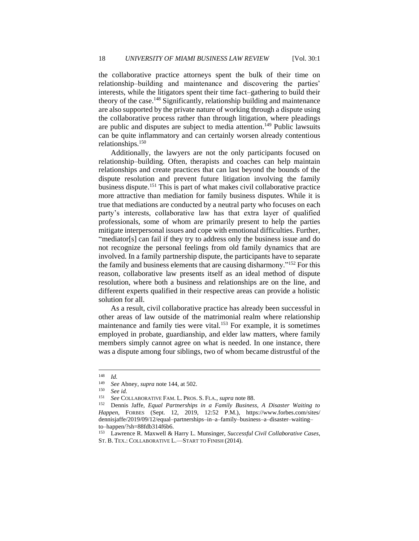the collaborative practice attorneys spent the bulk of their time on relationship–building and maintenance and discovering the parties' interests, while the litigators spent their time fact–gathering to build their theory of the case.<sup>148</sup> Significantly, relationship building and maintenance are also supported by the private nature of working through a dispute using the collaborative process rather than through litigation, where pleadings are public and disputes are subject to media attention.<sup>149</sup> Public lawsuits can be quite inflammatory and can certainly worsen already contentious relationships.<sup>150</sup>

Additionally, the lawyers are not the only participants focused on relationship–building. Often, therapists and coaches can help maintain relationships and create practices that can last beyond the bounds of the dispute resolution and prevent future litigation involving the family business dispute.<sup>151</sup> This is part of what makes civil collaborative practice more attractive than mediation for family business disputes. While it is true that mediations are conducted by a neutral party who focuses on each party's interests, collaborative law has that extra layer of qualified professionals, some of whom are primarily present to help the parties mitigate interpersonal issues and cope with emotional difficulties. Further, "mediator[s] can fail if they try to address only the business issue and do not recognize the personal feelings from old family dynamics that are involved. In a family partnership dispute, the participants have to separate the family and business elements that are causing disharmony."<sup>152</sup> For this reason, collaborative law presents itself as an ideal method of dispute resolution, where both a business and relationships are on the line, and different experts qualified in their respective areas can provide a holistic solution for all.

As a result, civil collaborative practice has already been successful in other areas of law outside of the matrimonial realm where relationship maintenance and family ties were vital.<sup>153</sup> For example, it is sometimes employed in probate, guardianship, and elder law matters, where family members simply cannot agree on what is needed. In one instance, there was a dispute among four siblings, two of whom became distrustful of the

 $\frac{148}{149}$  *Id.* 

<sup>149</sup> *See* Abney, *supra* note 144, at 502.

<sup>150</sup> *See id.*

<sup>151</sup> *See* COLLABORATIVE FAM. L. PROS. S. FLA., *supra* note 88.

<sup>152</sup> Dennis Jaffe, *Equal Partnerships in a Family Business, A Disaster Waiting to Happen*, FORBES (Sept. 12, 2019, 12:52 P.M.), https://www.forbes.com/sites/ dennisjaffe/2019/09/12/equal–partnerships–in–a–family–business–a–disaster–waiting– to–happen/?sh=88fdb314f6b6.

<sup>153</sup> Lawrence R. Maxwell & Harry L. Munsinger, *Successful Civil Collaborative Cases*, ST. B. TEX.: COLLABORATIVE L.—START TO FINISH (2014).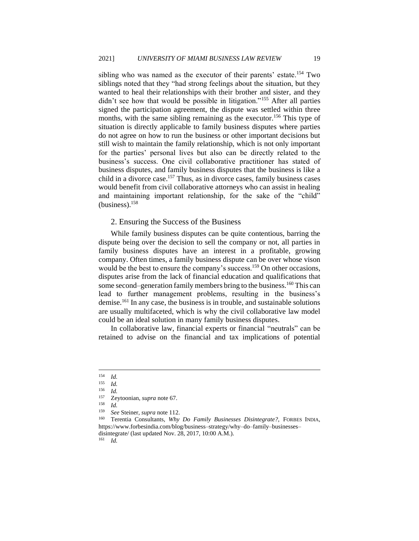sibling who was named as the executor of their parents' estate.<sup>154</sup> Two siblings noted that they "had strong feelings about the situation, but they wanted to heal their relationships with their brother and sister, and they didn't see how that would be possible in litigation."<sup>155</sup> After all parties signed the participation agreement, the dispute was settled within three months, with the same sibling remaining as the executor.<sup>156</sup> This type of situation is directly applicable to family business disputes where parties do not agree on how to run the business or other important decisions but still wish to maintain the family relationship, which is not only important for the parties' personal lives but also can be directly related to the business's success. One civil collaborative practitioner has stated of business disputes, and family business disputes that the business is like a child in a divorce case.<sup>157</sup> Thus, as in divorce cases, family business cases would benefit from civil collaborative attorneys who can assist in healing and maintaining important relationship, for the sake of the "child"  $(business).<sup>158</sup>$ 

#### 2. Ensuring the Success of the Business

While family business disputes can be quite contentious, barring the dispute being over the decision to sell the company or not, all parties in family business disputes have an interest in a profitable, growing company. Often times, a family business dispute can be over whose vison would be the best to ensure the company's success.<sup>159</sup> On other occasions, disputes arise from the lack of financial education and qualifications that some second–generation family members bring to the business.<sup>160</sup> This can lead to further management problems, resulting in the business's demise.<sup>161</sup> In any case, the business is in trouble, and sustainable solutions are usually multifaceted, which is why the civil collaborative law model could be an ideal solution in many family business disputes.

In collaborative law, financial experts or financial "neutrals" can be retained to advise on the financial and tax implications of potential

 $\frac{158}{159}$  *Id.* 

<sup>161</sup> *Id.*

 $\frac{154}{155}$  *Id.* 

 $\frac{155}{156}$  *Id.* 

 $\frac{156}{157}$  *Id.* 

<sup>157</sup> Zeytoonian, *supra* note 67.

<sup>159</sup> *See* Steiner, *supra* note 112.

<sup>160</sup> Terentia Consultants, *Why Do Family Businesses Disintegrate?*, FORBES INDIA, https://www.forbesindia.com/blog/business–strategy/why–do–family–businesses– disintegrate/ (last updated Nov. 28, 2017, 10:00 A.M.).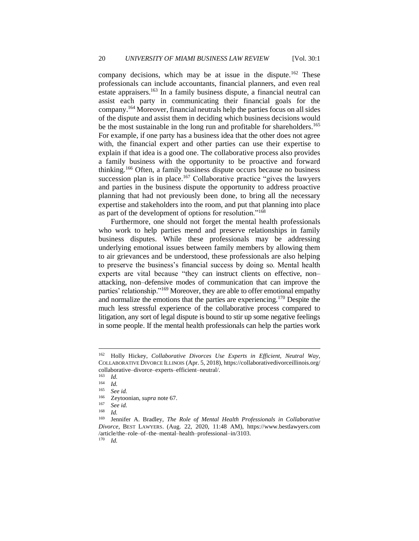company decisions, which may be at issue in the dispute.<sup>162</sup> These professionals can include accountants, financial planners, and even real estate appraisers.<sup>163</sup> In a family business dispute, a financial neutral can assist each party in communicating their financial goals for the company.<sup>164</sup> Moreover, financial neutrals help the parties focus on all sides of the dispute and assist them in deciding which business decisions would be the most sustainable in the long run and profitable for shareholders.<sup>165</sup> For example, if one party has a business idea that the other does not agree with, the financial expert and other parties can use their expertise to explain if that idea is a good one. The collaborative process also provides a family business with the opportunity to be proactive and forward thinking.<sup>166</sup> Often, a family business dispute occurs because no business succession plan is in place.<sup>167</sup> Collaborative practice "gives the lawyers" and parties in the business dispute the opportunity to address proactive planning that had not previously been done, to bring all the necessary expertise and stakeholders into the room, and put that planning into place as part of the development of options for resolution."<sup>168</sup>

Furthermore, one should not forget the mental health professionals who work to help parties mend and preserve relationships in family business disputes. While these professionals may be addressing underlying emotional issues between family members by allowing them to air grievances and be understood, these professionals are also helping to preserve the business's financial success by doing so. Mental health experts are vital because "they can instruct clients on effective, non– attacking, non–defensive modes of communication that can improve the parties' relationship."<sup>169</sup> Moreover, they are able to offer emotional empathy and normalize the emotions that the parties are experiencing.<sup>170</sup> Despite the much less stressful experience of the collaborative process compared to litigation, any sort of legal dispute is bound to stir up some negative feelings in some people. If the mental health professionals can help the parties work

 $\frac{163}{164}$  *Id.* 

<sup>162</sup> Holly Hickey, *Collaborative Divorces Use Experts in Efficient, Neutral Way*, COLLABORATIVE DIVORCE ILLINOIS (Apr. 5, 2018), https://collaborativedivorceillinois.org/ collaborative–divorce–experts–efficient–neutral/.

 $\frac{164}{165}$  *Id.* 

<sup>165</sup> *See id.*

<sup>166</sup> Zeytoonian, *supra* note 67.

<sup>167</sup> *See id.*

 $\frac{168}{169}$  *Id.* 

<sup>169</sup> Jennifer A. Bradley, *The Role of Mental Health Professionals in Collaborative Divorce*, BEST LAWYERS. (Aug. 22, 2020, 11:48 AM), https://www.bestlawyers.com /article/the–role–of–the–mental–health–professional–in/3103. <sup>170</sup> *Id.*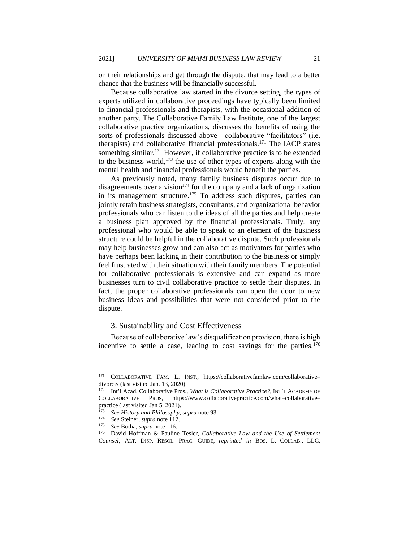on their relationships and get through the dispute, that may lead to a better chance that the business will be financially successful.

Because collaborative law started in the divorce setting, the types of experts utilized in collaborative proceedings have typically been limited to financial professionals and therapists, with the occasional addition of another party. The Collaborative Family Law Institute, one of the largest collaborative practice organizations, discusses the benefits of using the sorts of professionals discussed above—collaborative "facilitators" (i.e. therapists) and collaborative financial professionals.<sup>171</sup> The IACP states something similar.<sup>172</sup> However, if collaborative practice is to be extended to the business world, $173$  the use of other types of experts along with the mental health and financial professionals would benefit the parties.

As previously noted, many family business disputes occur due to disagreements over a vision<sup>174</sup> for the company and a lack of organization in its management structure.<sup>175</sup> To address such disputes, parties can jointly retain business strategists, consultants, and organizational behavior professionals who can listen to the ideas of all the parties and help create a business plan approved by the financial professionals. Truly, any professional who would be able to speak to an element of the business structure could be helpful in the collaborative dispute. Such professionals may help businesses grow and can also act as motivators for parties who have perhaps been lacking in their contribution to the business or simply feel frustrated with their situation with their family members. The potential for collaborative professionals is extensive and can expand as more businesses turn to civil collaborative practice to settle their disputes. In fact, the proper collaborative professionals can open the door to new business ideas and possibilities that were not considered prior to the dispute.

#### 3. Sustainability and Cost Effectiveness

Because of collaborative law's disqualification provision, there is high incentive to settle a case, leading to cost savings for the parties.<sup>176</sup>

<sup>171</sup> COLLABORATIVE FAM. L. INST., https://collaborativefamlaw.com/collaborative– divorce/ (last visited Jan. 13, 2020).

<sup>172</sup> Int'l Acad. Collaborative Pros., *What is Collaborative Practice?*, INT'L ACADEMY OF COLLABORATIVE PROS, https://www.collaborativepractice.com/what–collaborative– practice (last visited Jan 5. 2021).

<sup>173</sup> *See History and Philosophy*, *supra* note 93.

<sup>&</sup>lt;sup>174</sup> *See* Steiner, *supra* note 112.<br><sup>175</sup> *See* Botha, *supra* note 116

<sup>175</sup> *See* Botha, *supra* note 116.

<sup>176</sup> David Hoffman & Pauline Tesler, *Collaborative Law and the Use of Settlement Counsel*, ALT. DISP. RESOL. PRAC. GUIDE, *reprinted in* BOS. L. COLLAB., LLC,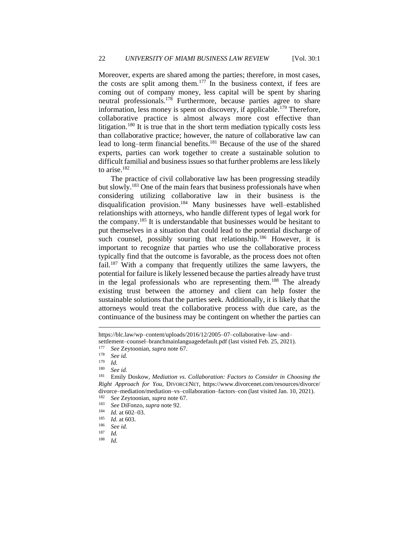Moreover, experts are shared among the parties; therefore, in most cases, the costs are split among them.<sup>177</sup> In the business context, if fees are coming out of company money, less capital will be spent by sharing neutral professionals.<sup>178</sup> Furthermore, because parties agree to share information, less money is spent on discovery, if applicable.<sup>179</sup> Therefore, collaborative practice is almost always more cost effective than litigation.<sup>180</sup> It is true that in the short term mediation typically costs less than collaborative practice; however, the nature of collaborative law can lead to long–term financial benefits.<sup>181</sup> Because of the use of the shared experts, parties can work together to create a sustainable solution to difficult familial and business issues so that further problems are less likely to arise.<sup>182</sup>

The practice of civil collaborative law has been progressing steadily but slowly.<sup>183</sup> One of the main fears that business professionals have when considering utilizing collaborative law in their business is the disqualification provision.<sup>184</sup> Many businesses have well–established relationships with attorneys, who handle different types of legal work for the company.<sup>185</sup> It is understandable that businesses would be hesitant to put themselves in a situation that could lead to the potential discharge of such counsel, possibly souring that relationship.<sup>186</sup> However, it is important to recognize that parties who use the collaborative process typically find that the outcome is favorable, as the process does not often fail.<sup>187</sup> With a company that frequently utilizes the same lawyers, the potential for failure is likely lessened because the parties already have trust in the legal professionals who are representing them.<sup>188</sup> The already existing trust between the attorney and client can help foster the sustainable solutions that the parties seek. Additionally, it is likely that the attorneys would treat the collaborative process with due care, as the continuance of the business may be contingent on whether the parties can

See *id.* 

https://blc.law/wp–content/uploads/2016/12/2005–07–collaborative–law–and– settlement–counsel–branchmainlanguagedefault.pdf (last visited Feb. 25, 2021).<br><sup>177</sup> See Zeytoonian sunga pote 67

<sup>177</sup> *See* Zeytoonian, *supra* note 67.

<sup>178</sup> *See id.*

 $\frac{179}{180}$  *Id.* 

<sup>181</sup> Emily Doskow, *Mediation vs. Collaboration: Factors to Consider in Choosing the Right Approach for You*, DIVORCENET, https://www.divorcenet.com/resources/divorce/ divorce–mediation/mediation–vs–collaboration–factors–con (last visited Jan. 10, 2021).

<sup>182</sup> *See* Zeytoonian, *supra* note 67.

<sup>183</sup> *See* DiFonzo, *supra* note 92.

 $\frac{184}{185}$  *Id.* at 602–03.

 $\frac{185}{186}$  *Id.* at 603.

<sup>186</sup> *See id.*

 $\frac{187}{188}$  *Id. Id.*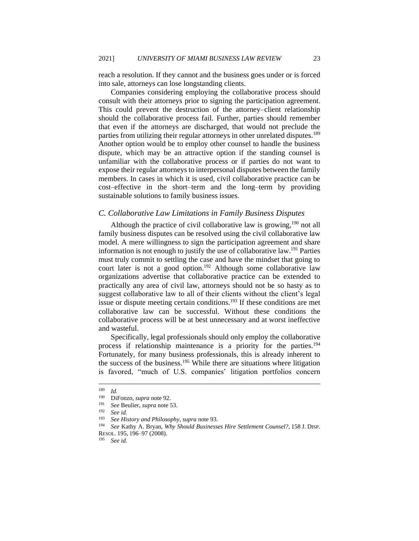reach a resolution. If they cannot and the business goes under or is forced into sale, attorneys can lose longstanding clients.

Companies considering employing the collaborative process should consult with their attorneys prior to signing the participation agreement. This could prevent the destruction of the attorney–client relationship should the collaborative process fail. Further, parties should remember that even if the attorneys are discharged, that would not preclude the parties from utilizing their regular attorneys in other unrelated disputes.<sup>189</sup> Another option would be to employ other counsel to handle the business dispute, which may be an attractive option if the standing counsel is unfamiliar with the collaborative process or if parties do not want to expose their regular attorneys to interpersonal disputes between the family members. In cases in which it is used, civil collaborative practice can be cost–effective in the short–term and the long–term by providing sustainable solutions to family business issues.

#### *C. Collaborative Law Limitations in Family Business Disputes*

Although the practice of civil collaborative law is growing,  $190$  not all family business disputes can be resolved using the civil collaborative law model. A mere willingness to sign the participation agreement and share information is not enough to justify the use of collaborative law.<sup>191</sup> Parties must truly commit to settling the case and have the mindset that going to court later is not a good option.<sup>192</sup> Although some collaborative law organizations advertise that collaborative practice can be extended to practically any area of civil law, attorneys should not be so hasty as to suggest collaborative law to all of their clients without the client's legal issue or dispute meeting certain conditions.<sup>193</sup> If these conditions are met collaborative law can be successful. Without these conditions the collaborative process will be at best unnecessary and at worst ineffective and wasteful.

Specifically, legal professionals should only employ the collaborative process if relationship maintenance is a priority for the parties.<sup>194</sup> Fortunately, for many business professionals, this is already inherent to the success of the business.<sup>195</sup> While there are situations where litigation is favored, "much of U.S. companies' litigation portfolios concern

 $\frac{189}{190}$  *Id.* 

<sup>190</sup> DiFonzo, *supra* note 92.

<sup>191</sup> *See* Beulier, *supra* note 53.

<sup>192</sup> *See id.*

<sup>193</sup> *See History and Philosophy*, *supra* note 93.

<sup>194</sup> *See* Kathy A. Bryan, *Why Should Businesses Hire Settlement Counsel?*, 158 J. DISP. RESOL. 195, 196–97 (2008).

<sup>195</sup> *See id.*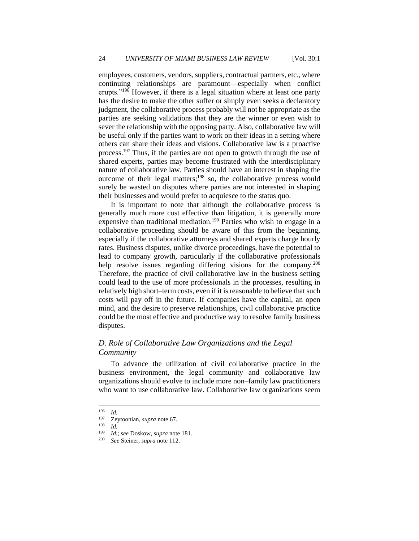employees, customers, vendors, suppliers, contractual partners, etc., where continuing relationships are paramount—especially when conflict erupts."<sup>196</sup> However, if there is a legal situation where at least one party has the desire to make the other suffer or simply even seeks a declaratory judgment, the collaborative process probably will not be appropriate as the parties are seeking validations that they are the winner or even wish to sever the relationship with the opposing party. Also, collaborative law will be useful only if the parties want to work on their ideas in a setting where others can share their ideas and visions. Collaborative law is a proactive process.<sup>197</sup> Thus, if the parties are not open to growth through the use of shared experts, parties may become frustrated with the interdisciplinary nature of collaborative law. Parties should have an interest in shaping the outcome of their legal matters;<sup>198</sup> so, the collaborative process would surely be wasted on disputes where parties are not interested in shaping their businesses and would prefer to acquiesce to the status quo.

It is important to note that although the collaborative process is generally much more cost effective than litigation, it is generally more expensive than traditional mediation.<sup>199</sup> Parties who wish to engage in a collaborative proceeding should be aware of this from the beginning, especially if the collaborative attorneys and shared experts charge hourly rates. Business disputes, unlike divorce proceedings, have the potential to lead to company growth, particularly if the collaborative professionals help resolve issues regarding differing visions for the company.<sup>200</sup> Therefore, the practice of civil collaborative law in the business setting could lead to the use of more professionals in the processes, resulting in relatively high short–term costs, even if it is reasonable to believe that such costs will pay off in the future. If companies have the capital, an open mind, and the desire to preserve relationships, civil collaborative practice could be the most effective and productive way to resolve family business disputes.

## *D. Role of Collaborative Law Organizations and the Legal Community*

To advance the utilization of civil collaborative practice in the business environment, the legal community and collaborative law organizations should evolve to include more non–family law practitioners who want to use collaborative law. Collaborative law organizations seem

 $\frac{196}{197}$  *Id.* 

<sup>&</sup>lt;sup>197</sup> Zeytoonian, *supra* note 67.<br><sup>198</sup> Id

 $\frac{198}{199}$  *Id.* 

<sup>199</sup> *Id.*; *see* Doskow, *supra* note 181.

See Steiner, *supra* note 112.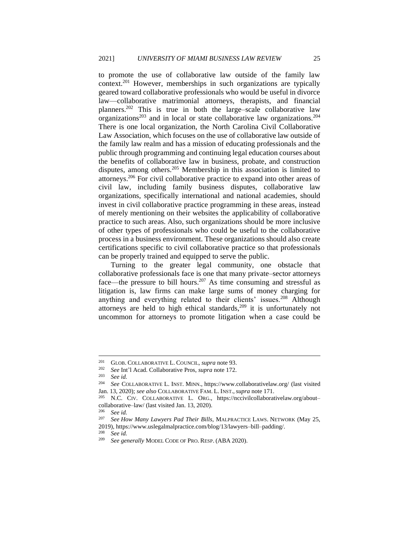to promote the use of collaborative law outside of the family law context.<sup>201</sup> However, memberships in such organizations are typically geared toward collaborative professionals who would be useful in divorce law—collaborative matrimonial attorneys, therapists, and financial planners.<sup>202</sup> This is true in both the large–scale collaborative law  $\alpha$  organizations<sup>203</sup> and in local or state collaborative law organizations.<sup>204</sup> There is one local organization, the North Carolina Civil Collaborative Law Association, which focuses on the use of collaborative law outside of the family law realm and has a mission of educating professionals and the public through programming and continuing legal education courses about the benefits of collaborative law in business, probate, and construction disputes, among others.<sup>205</sup> Membership in this association is limited to attorneys.<sup>206</sup> For civil collaborative practice to expand into other areas of civil law, including family business disputes, collaborative law organizations, specifically international and national academies, should invest in civil collaborative practice programming in these areas, instead of merely mentioning on their websites the applicability of collaborative practice to such areas. Also, such organizations should be more inclusive of other types of professionals who could be useful to the collaborative process in a business environment. These organizations should also create certifications specific to civil collaborative practice so that professionals can be properly trained and equipped to serve the public.

Turning to the greater legal community, one obstacle that collaborative professionals face is one that many private–sector attorneys face—the pressure to bill hours.<sup>207</sup> As time consuming and stressful as litigation is, law firms can make large sums of money charging for anything and everything related to their clients' issues.<sup>208</sup> Although attorneys are held to high ethical standards, $209$  it is unfortunately not uncommon for attorneys to promote litigation when a case could be

<sup>208</sup> *See id.*

<sup>201</sup> GLOB. COLLABORATIVE L. COUNCIL, *supra* note 93.

<sup>202</sup> *See* Int'l Acad. Collaborative Pros, *supra* note 172.

See *id.* 

<sup>204</sup> *See* COLLABORATIVE L. INST. MINN., https://www.collaborativelaw.org/ (last visited Jan. 13, 2020); *see also* COLLABORATIVE FAM. L. INST.,*supra* note 171.

N.C. CIV. COLLABORATIVE L. ORG., https://nccivilcollaborativelaw.org/aboutcollaborative–law/ (last visited Jan. 13, 2020).

<sup>206</sup> *See id.*

<sup>207</sup> *See How Many Lawyers Pad Their Bills*, MALPRACTICE LAWS. NETWORK (May 25, 2019), https://www.uslegalmalpractice.com/blog/13/lawyers–bill–padding/.

<sup>209</sup> *See generally* MODEL CODE OF PRO. RESP. (ABA 2020).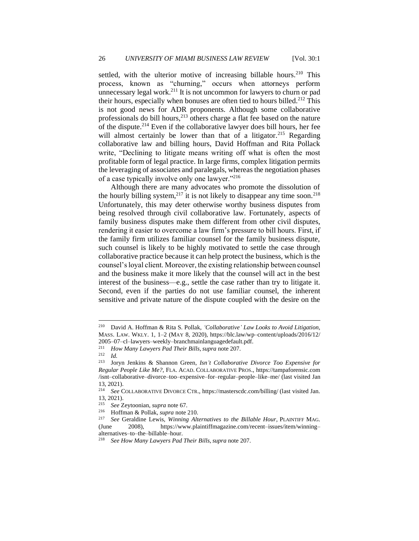settled, with the ulterior motive of increasing billable hours.<sup>210</sup> This process, known as "churning," occurs when attorneys perform unnecessary legal work.<sup>211</sup> It is not uncommon for lawyers to churn or pad their hours, especially when bonuses are often tied to hours billed.<sup>212</sup> This is not good news for ADR proponents. Although some collaborative professionals do bill hours, $2^{13}$  others charge a flat fee based on the nature of the dispute.<sup>214</sup> Even if the collaborative lawyer does bill hours, her fee will almost certainly be lower than that of a litigator.<sup>215</sup> Regarding collaborative law and billing hours, David Hoffman and Rita Pollack write, "Declining to litigate means writing off what is often the most profitable form of legal practice. In large firms, complex litigation permits the leveraging of associates and paralegals, whereas the negotiation phases of a case typically involve only one lawyer."<sup>216</sup>

Although there are many advocates who promote the dissolution of the hourly billing system,  $2^{17}$  it is not likely to disappear any time soon.<sup>218</sup> Unfortunately, this may deter otherwise worthy business disputes from being resolved through civil collaborative law. Fortunately, aspects of family business disputes make them different from other civil disputes, rendering it easier to overcome a law firm's pressure to bill hours. First, if the family firm utilizes familiar counsel for the family business dispute, such counsel is likely to be highly motivated to settle the case through collaborative practice because it can help protect the business, which is the counsel's loyal client. Moreover, the existing relationship between counsel and the business make it more likely that the counsel will act in the best interest of the business—e.g., settle the case rather than try to litigate it. Second, even if the parties do not use familiar counsel, the inherent sensitive and private nature of the dispute coupled with the desire on the

<sup>210</sup> David A. Hoffman & Rita S. Pollak, *'Collaborative' Law Looks to Avoid Litigation*, MASS. LAW. WKLY. 1, 1–2 (MAY 8, 2020), https://blc.law/wp–content/uploads/2016/12/ 2005–07–cl–lawyers–weekly–branchmainlanguagedefault.pdf.

<sup>211</sup> *How Many Lawyers Pad Their Bills*,*supra* note 207.

<sup>212</sup> *Id.*

<sup>213</sup> Joryn Jenkins & Shannon Green, *Isn't Collaborative Divorce Too Expensive for Regular People Like Me?*, FLA. ACAD. COLLABORATIVE PROS., https://tampaforensic.com /isnt–collaborative–divorce–too–expensive–for–regular–people–like–me/ (last visited Jan 13, 2021).<br> $\frac{214}{\text{214}}$  See C

See COLLABORATIVE DIVORCE CTR., https://masterscdc.com/billing/ (last visited Jan. 13, 2021).

<sup>215</sup> *See* Zeytoonian, *supra* note 67.

<sup>216</sup> Hoffman & Pollak, *supra* note 210.

<sup>217</sup> *See* Geraldine Lewis, *Winning Alternatives to the Billable Hour*, PLAINTIFF MAG. (June 2008), https://www.plaintiffmagazine.com/recent–issues/item/winning– alternatives–to–the–billable–hour.

<sup>218</sup> *See How Many Lawyers Pad Their Bills*,*supra* note 207.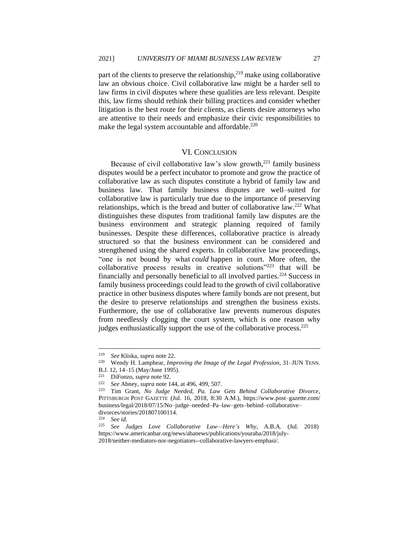part of the clients to preserve the relationship,  $2^{19}$  make using collaborative law an obvious choice. Civil collaborative law might be a harder sell to law firms in civil disputes where these qualities are less relevant. Despite this, law firms should rethink their billing practices and consider whether litigation is the best route for their clients, as clients desire attorneys who are attentive to their needs and emphasize their civic responsibilities to make the legal system accountable and affordable.<sup>220</sup>

#### VI. CONCLUSION

Because of civil collaborative law's slow growth, $^{221}$  family business disputes would be a perfect incubator to promote and grow the practice of collaborative law as such disputes constitute a hybrid of family law and business law. That family business disputes are well–suited for collaborative law is particularly true due to the importance of preserving relationships, which is the bread and butter of collaborative law.<sup>222</sup> What distinguishes these disputes from traditional family law disputes are the business environment and strategic planning required of family businesses. Despite these differences, collaborative practice is already structured so that the business environment can be considered and strengthened using the shared experts. In collaborative law proceedings, "one is not bound by what *could* happen in court. More often, the collaborative process results in creative solutions"<sup>223</sup> that will be financially and personally beneficial to all involved parties.<sup>224</sup> Success in family business proceedings could lead to the growth of civil collaborative practice in other business disputes where family bonds are not present, but the desire to preserve relationships and strengthen the business exists. Furthermore, the use of collaborative law prevents numerous disputes from needlessly clogging the court system, which is one reason why judges enthusiastically support the use of the collaborative process.<sup>225</sup>

<sup>219</sup> *See* Kliska, *supra* note 22.

<sup>220</sup> Wendy H. Lamphear, *Improving the Image of the Legal Profession*, 31–JUN TENN.

B.J. 12, 14–15 (May/June 1995).

<sup>&</sup>lt;sup>221</sup> DiFonzo, *supra* note 92.<br><sup>222</sup> See Abney *supra* note 1

<sup>222</sup> *See* Abney, *supra* note 144, at 496, 499, 507.

Tim Grant, *No Judge Needed, Pa. Law Gets Behind Collaborative Divorce*, PITTSBURGH POST GAZETTE (Jul. 16, 2018, 8:30 A.M.), https://www.post–gazette.com/ business/legal/2018/07/15/No–judge–needed–Pa–law–gets–behind–collaborative– divorces/stories/201807100114.

<sup>&</sup>lt;sup>224</sup> *See id.*<br><sup>225</sup> *See i* 

<sup>225</sup> *See Judges Love Collaborative Law—Here's Why*, A.B.A. (Jul. 2018) https://www.americanbar.org/news/abanews/publications/youraba/2018/july-2018/neither-mediators-nor-negotiators--collaborative-lawyers-emphasi/.